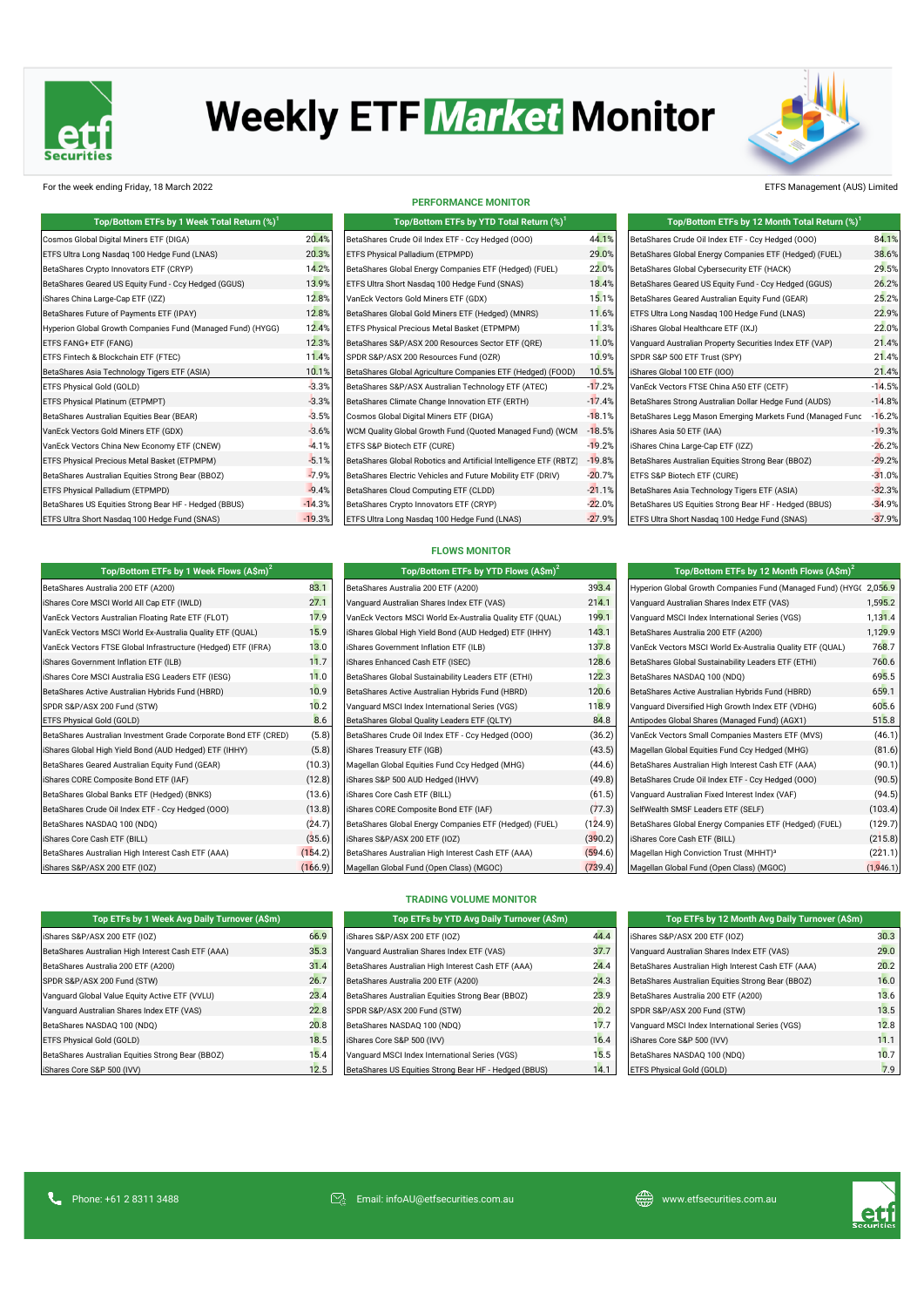

# **Weekly ETF Market Monitor**



For the week ending Friday, 18 March 2022 ETFS Management (AUS) Limited

| Top/Bottom ETFs by 1 Week Total Return (%) <sup>1</sup>     |         |
|-------------------------------------------------------------|---------|
| Cosmos Global Digital Miners ETF (DIGA)                     | 20.4    |
| ETFS Ultra Long Nasdag 100 Hedge Fund (LNAS)                | 20.3    |
| BetaShares Crypto Innovators ETF (CRYP)                     | 14.2    |
| BetaShares Geared US Equity Fund - Ccy Hedged (GGUS)        | 13.9    |
| iShares China Large-Cap ETF (IZZ)                           | 12.8    |
| BetaShares Future of Payments ETF (IPAY)                    | 12.8    |
| Hyperion Global Growth Companies Fund (Managed Fund) (HYGG) | 12.4    |
| ETFS FANG+ ETF (FANG)                                       | 12.3    |
| ETFS Fintech & Blockchain ETF (FTEC)                        | 11.4    |
| BetaShares Asia Technology Tigers ETF (ASIA)                | 10.7    |
| ETFS Physical Gold (GOLD)                                   | $-3.3$  |
| ETFS Physical Platinum (ETPMPT)                             | $-3.3$  |
| BetaShares Australian Equities Bear (BEAR)                  | $-3.5$  |
| VanEck Vectors Gold Miners ETF (GDX)                        | $-3.6$  |
| VanEck Vectors China New Economy ETF (CNEW)                 | $-4.$   |
| ETFS Physical Precious Metal Basket (ETPMPM)                | $-5.7$  |
| BetaShares Australian Equities Strong Bear (BBOZ)           | $-7.9$  |
| ETFS Physical Palladium (ETPMPD)                            | $-9.4$  |
| BetaShares US Equities Strong Bear HF - Hedged (BBUS)       | $-14.3$ |
| ETFS Ultra Short Nasdag 100 Hedge Fund (SNAS)               | $-19.3$ |

**PERFORMANCE MONITOR**

|    | Top/Bottom ETFs by YTD Total Return (%) <sup>1</sup>              |          | Top/Bottom ETFs by 12 Month Total Return (%) <sup>1</sup> |          |
|----|-------------------------------------------------------------------|----------|-----------------------------------------------------------|----------|
| 4% | BetaShares Crude Oil Index ETF - Ccy Hedged (000)                 | 44.1%    | BetaShares Crude Oil Index ETF - Ccy Hedged (000)         | 84.1%    |
| 3% | ETFS Physical Palladium (ETPMPD)                                  | 29.0%    | BetaShares Global Energy Companies ETF (Hedged) (FUEL)    | 38.6%    |
| 2% | BetaShares Global Energy Companies ETF (Hedged) (FUEL)            | 22.0%    | BetaShares Global Cybersecurity ETF (HACK)                | 29.5%    |
| 9% | ETFS Ultra Short Nasdag 100 Hedge Fund (SNAS)                     | 18.4%    | BetaShares Geared US Equity Fund - Ccy Hedged (GGUS)      | 26.2%    |
| 8% | VanEck Vectors Gold Miners ETF (GDX)                              | 15.1%    | BetaShares Geared Australian Equity Fund (GEAR)           | 25.2%    |
| 8% | BetaShares Global Gold Miners ETF (Hedged) (MNRS)                 | 11.6%    | ETFS Ultra Long Nasdag 100 Hedge Fund (LNAS)              | 22.9%    |
| 4% | ETFS Physical Precious Metal Basket (ETPMPM)                      | 11.3%    | iShares Global Healthcare ETF (IXJ)                       | 22.0%    |
| 3% | BetaShares S&P/ASX 200 Resources Sector ETF (QRE)                 | 11.0%    | Vanquard Australian Property Securities Index ETF (VAP)   | 21.4%    |
| 4% | SPDR S&P/ASX 200 Resources Fund (OZR)                             | 10.9%    | SPDR S&P 500 ETF Trust (SPY)                              | 21.4%    |
| 1% | BetaShares Global Agriculture Companies ETF (Hedged) (FOOD)       | 10.5%    | iShares Global 100 ETF (IOO)                              | 21.4%    |
| 3% | BetaShares S&P/ASX Australian Technology ETF (ATEC)               | $-17.2%$ | VanEck Vectors FTSE China A50 ETF (CETF)                  | $-14.5%$ |
| 3% | BetaShares Climate Change Innovation ETF (ERTH)                   | $-17.4%$ | BetaShares Strong Australian Dollar Hedge Fund (AUDS)     | $-14.8%$ |
| 5% | Cosmos Global Digital Miners ETF (DIGA)                           | $-18.1%$ | BetaShares Legg Mason Emerging Markets Fund (Managed Func | $-16.2%$ |
| 6% | WCM Quality Global Growth Fund (Quoted Managed Fund) (WCM         | $-18.5%$ | iShares Asia 50 ETF (IAA)                                 | $-19.3%$ |
| 1% | ETFS S&P Biotech ETF (CURE)                                       | $-19.2%$ | iShares China Large-Cap ETF (IZZ)                         | $-26.2%$ |
| 1% | BetaShares Global Robotics and Artificial Intelligence ETF (RBTZ) | $-19.8%$ | BetaShares Australian Equities Strong Bear (BBOZ)         | $-29.2%$ |
| 9% | BetaShares Electric Vehicles and Future Mobility ETF (DRIV)       | $-20.7%$ | ETFS S&P Biotech ETF (CURE)                               | $-31.0%$ |
| 4% | BetaShares Cloud Computing ETF (CLDD)                             | $-21.1%$ | BetaShares Asia Technology Tigers ETF (ASIA)              | $-32.3%$ |
| 3% | BetaShares Crypto Innovators ETF (CRYP)                           | $-22.0%$ | BetaShares US Equities Strong Bear HF - Hedged (BBUS)     | $-34.9%$ |
| 3% | ETFS Ultra Long Nasdaq 100 Hedge Fund (LNAS)                      | $-27.9%$ | ETFS Ultra Short Nasdaq 100 Hedge Fund (SNAS)             | $-37.9%$ |
|    |                                                                   |          |                                                           |          |

| Top/Bottom ETFs by 1 Week Flows $(A\$ m) <sup>2</sup>            |         | Top/Bottom ETFs by YTD Flows (A\$m) <sup>2</sup>          |         | Top/Bottom ETFs by 12 Month Flows (A\$m) <sup>2</sup>      |           |
|------------------------------------------------------------------|---------|-----------------------------------------------------------|---------|------------------------------------------------------------|-----------|
| BetaShares Australia 200 ETF (A200)                              | 83.1    | BetaShares Australia 200 ETF (A200)                       | 393.4   | Hyperion Global Growth Companies Fund (Managed Fund) (HYG( | 2,056.9   |
| iShares Core MSCI World All Cap ETF (IWLD)                       | 27.1    | Vanquard Australian Shares Index ETF (VAS)                | 214.1   | Vanquard Australian Shares Index ETF (VAS)                 | 1,595.2   |
| VanEck Vectors Australian Floating Rate ETF (FLOT)               | 17.9    | VanEck Vectors MSCI World Ex-Australia Quality ETF (QUAL) | 199.1   | Vanguard MSCI Index International Series (VGS)             | 1,131.4   |
| VanEck Vectors MSCI World Ex-Australia Quality ETF (QUAL)        | 15.9    | iShares Global High Yield Bond (AUD Hedged) ETF (IHHY)    | 143.1   | BetaShares Australia 200 ETF (A200)                        | 1,129.9   |
| VanEck Vectors FTSE Global Infrastructure (Hedged) ETF (IFRA)    | 13.0    | iShares Government Inflation ETF (ILB)                    | 137.8   | VanEck Vectors MSCI World Ex-Australia Quality ETF (QUAL)  | 768.7     |
| iShares Government Inflation ETF (ILB)                           | 11.7    | iShares Enhanced Cash ETF (ISEC)                          | 128.6   | BetaShares Global Sustainability Leaders ETF (ETHI)        | 760.6     |
| iShares Core MSCI Australia ESG Leaders ETF (IESG)               | 11.0    | BetaShares Global Sustainability Leaders ETF (ETHI)       | 122.3   | BetaShares NASDAQ 100 (NDQ)                                | 695.5     |
| BetaShares Active Australian Hybrids Fund (HBRD)                 | 10.9    | BetaShares Active Australian Hybrids Fund (HBRD)          | 120.6   | BetaShares Active Australian Hybrids Fund (HBRD)           | 659.1     |
| SPDR S&P/ASX 200 Fund (STW)                                      | 10.2    | Vanquard MSCI Index International Series (VGS)            | 118.9   | Vanquard Diversified High Growth Index ETF (VDHG)          | 605.6     |
| ETFS Physical Gold (GOLD)                                        | 8.6     | BetaShares Global Quality Leaders ETF (QLTY)              | 84.8    | Antipodes Global Shares (Managed Fund) (AGX1)              | 515.8     |
| BetaShares Australian Investment Grade Corporate Bond ETF (CRED) | (5.8)   | BetaShares Crude Oil Index ETF - Ccy Hedged (000)         | (36.2)  | VanEck Vectors Small Companies Masters ETF (MVS)           | (46.1)    |
| iShares Global High Yield Bond (AUD Hedged) ETF (IHHY)           | (5.8)   | iShares Treasury ETF (IGB)                                | (43.5)  | Magellan Global Equities Fund Ccy Hedged (MHG)             | (81.6)    |
| BetaShares Geared Australian Equity Fund (GEAR)                  | (10.3)  | Magellan Global Equities Fund Ccy Hedged (MHG)            | (44.6)  | BetaShares Australian High Interest Cash ETF (AAA)         | (90.1)    |
| iShares CORE Composite Bond ETF (IAF)                            | (12.8)  | iShares S&P 500 AUD Hedged (IHVV)                         | (49.8)  | BetaShares Crude Oil Index ETF - Ccy Hedged (000)          | (90.5)    |
| BetaShares Global Banks ETF (Hedged) (BNKS)                      | (13.6)  | iShares Core Cash ETF (BILL)                              | (61.5)  | Vanquard Australian Fixed Interest Index (VAF)             | (94.5)    |
| BetaShares Crude Oil Index ETF - Ccy Hedged (000)                | (13.8)  | iShares CORE Composite Bond ETF (IAF)                     | (77.3)  | SelfWealth SMSF Leaders ETF (SELF)                         | (103.4)   |
| BetaShares NASDAQ 100 (NDQ)                                      | (24.7)  | BetaShares Global Energy Companies ETF (Hedged) (FUEL)    | (124.9) | BetaShares Global Energy Companies ETF (Hedged) (FUEL)     | (129.7)   |
| iShares Core Cash ETF (BILL)                                     | (35.6)  | iShares S&P/ASX 200 ETF (IOZ)                             | (390.2) | iShares Core Cash ETF (BILL)                               | (215.8)   |
| BetaShares Australian High Interest Cash ETF (AAA)               | (154.2) | BetaShares Australian High Interest Cash ETF (AAA)        | (594.6) | Magellan High Conviction Trust (MHHT) <sup>3</sup>         | (221.1)   |
| iShares S&P/ASX 200 ETF (IOZ)                                    | (166.9) | Magellan Global Fund (Open Class) (MGOC)                  | (739.4) | Magellan Global Fund (Open Class) (MGOC)                   | (1,946.1) |

| <b>FLOWS MONITOR</b> |  |  |  |
|----------------------|--|--|--|
|                      |  |  |  |

| Top/Bottom ETFs by YTD Flows $(A\sin)^2$                  |                 |
|-----------------------------------------------------------|-----------------|
| BetaShares Australia 200 ETF (A200)                       | 393             |
| Vanquard Australian Shares Index ETF (VAS)                | 214             |
| VanEck Vectors MSCI World Ex-Australia Quality ETF (QUAL) | 19 <sub>c</sub> |
| iShares Global High Yield Bond (AUD Hedged) ETF (IHHY)    | 143             |
| iShares Government Inflation ETF (ILB)                    | 137             |
| iShares Enhanced Cash ETF (ISEC)                          | 128             |
| BetaShares Global Sustainability Leaders ETF (ETHI)       | 122             |
| BetaShares Active Australian Hybrids Fund (HBRD)          | 12 <sub>C</sub> |
| Vanquard MSCI Index International Series (VGS)            | 118             |
| BetaShares Global Quality Leaders ETF (QLTY)              | 84              |
| BetaShares Crude Oil Index ETF - Ccy Hedged (000)         | (36             |
| iShares Treasury ETF (IGB)                                | (43)            |
| Magellan Global Equities Fund Ccy Hedged (MHG)            | (44)            |
| iShares S&P 500 AUD Hedged (IHVV)                         | (49             |
| iShares Core Cash ETF (BILL)                              | (61             |
| iShares CORE Composite Bond ETF (IAF)                     | (77)            |
| BetaShares Global Energy Companies ETF (Hedged) (FUEL)    | (124            |
| iShares S&P/ASX 200 ETF (IOZ)                             | (390)           |
| BetaShares Australian High Interest Cash ETF (AAA)        | (594            |
| Magellan Global Fund (Open Class) (MGOC)                  | (739            |

| Top/Bottom ETFs by 1 Week Flows $(A\sin^2)$                      |         | Top/Bottom ETFs by YTD Flows (A\$m) <sup>2</sup>          |         | Top/Bottom ETFs by 12 Month Flows $(A\sin)^2$                     |           |
|------------------------------------------------------------------|---------|-----------------------------------------------------------|---------|-------------------------------------------------------------------|-----------|
| BetaShares Australia 200 ETF (A200)                              | 83.1    | BetaShares Australia 200 ETF (A200)                       | 393.4   | Hyperion Global Growth Companies Fund (Managed Fund) (HYG(2,056.9 |           |
| Shares Core MSCI World All Cap ETF (IWLD)                        | 27.1    | Vanguard Australian Shares Index ETF (VAS)                | 214.1   | Vanguard Australian Shares Index ETF (VAS)                        | 1,595.2   |
| VanEck Vectors Australian Floating Rate ETF (FLOT)               | 17.9    | VanEck Vectors MSCI World Ex-Australia Quality ETF (QUAL) | 199.1   | Vanquard MSCI Index International Series (VGS)                    | 1,131.4   |
| VanEck Vectors MSCI World Ex-Australia Quality ETF (QUAL)        | 15.9    | iShares Global High Yield Bond (AUD Hedged) ETF (IHHY)    | 143.1   | BetaShares Australia 200 ETF (A200)                               | 1,129.9   |
| VanEck Vectors FTSE Global Infrastructure (Hedged) ETF (IFRA)    | 13.0    | Shares Government Inflation ETF (ILB)                     | 137.8   | VanEck Vectors MSCI World Ex-Australia Quality ETF (QUAL)         | 768.7     |
| Shares Government Inflation ETF (ILB)                            | 11.7    | iShares Enhanced Cash ETF (ISEC)                          | 128.6   | BetaShares Global Sustainability Leaders ETF (ETHI)               | 760.6     |
| iShares Core MSCI Australia ESG Leaders ETF (IESG)               | 11.0    | BetaShares Global Sustainability Leaders ETF (ETHI)       | 122.3   | BetaShares NASDAQ 100 (NDQ)                                       | 695.5     |
| BetaShares Active Australian Hybrids Fund (HBRD)                 | 10.9    | BetaShares Active Australian Hybrids Fund (HBRD)          | 120.6   | BetaShares Active Australian Hybrids Fund (HBRD)                  | 659.1     |
| SPDR S&P/ASX 200 Fund (STW)                                      | 10.2    | Vanquard MSCI Index International Series (VGS)            | 118.9   | Vanquard Diversified High Growth Index ETF (VDHG)                 | 605.6     |
| ETFS Physical Gold (GOLD)                                        | 8.6     | BetaShares Global Quality Leaders ETF (QLTY)              | 84.8    | Antipodes Global Shares (Managed Fund) (AGX1)                     | 515.8     |
| BetaShares Australian Investment Grade Corporate Bond ETF (CRED) | (5.8)   | BetaShares Crude Oil Index ETF - Ccy Hedged (000)         | (36.2)  | VanEck Vectors Small Companies Masters ETF (MVS)                  | (46.1)    |
| Shares Global High Yield Bond (AUD Hedged) ETF (IHHY)            | (5.8)   | iShares Treasury ETF (IGB)                                | (43.5)  | Magellan Global Equities Fund Ccy Hedged (MHG)                    | (81.6)    |
| BetaShares Geared Australian Equity Fund (GEAR)                  | (10.3)  | Magellan Global Equities Fund Ccy Hedged (MHG)            | (44.6)  | BetaShares Australian High Interest Cash ETF (AAA)                | (90.1)    |
| Shares CORE Composite Bond ETF (IAF)                             | (12.8)  | iShares S&P 500 AUD Hedged (IHVV)                         | (49.8)  | BetaShares Crude Oil Index ETF - Ccy Hedged (000)                 | (90.5)    |
| BetaShares Global Banks ETF (Hedged) (BNKS)                      | (13.6)  | iShares Core Cash ETF (BILL)                              | (61.5)  | Vanquard Australian Fixed Interest Index (VAF)                    | (94.5)    |
| BetaShares Crude Oil Index ETF - Ccy Hedged (000)                | (13.8)  | iShares CORE Composite Bond ETF (IAF)                     | (77.3)  | SelfWealth SMSF Leaders ETF (SELF)                                | (103.4)   |
| BetaShares NASDAQ 100 (NDQ)                                      | (24.7)  | BetaShares Global Energy Companies ETF (Hedged) (FUEL)    | (124.9) | BetaShares Global Energy Companies ETF (Hedged) (FUEL)            | (129.7)   |
| Shares Core Cash ETF (BILL)                                      | (35.6)  | iShares S&P/ASX 200 ETF (IOZ)                             | (390.2) | iShares Core Cash ETF (BILL)                                      | (215.8)   |
| BetaShares Australian High Interest Cash ETF (AAA)               | (154.2) | BetaShares Australian High Interest Cash ETF (AAA)        | (594.6) | Magellan High Conviction Trust (MHHT) <sup>3</sup>                | (221.1)   |
| Shares S&P/ASX 200 ETF (IOZ)                                     | (166.9) | Magellan Global Fund (Open Class) (MGOC)                  | (739.4) | Magellan Global Fund (Open Class) (MGOC)                          | (1,946.1) |

| Top ETFs by 1 Week Avg Daily Turnover (A\$m)       |                |
|----------------------------------------------------|----------------|
| iShares S&P/ASX 200 ETF (IOZ)                      | 6              |
| BetaShares Australian High Interest Cash ETF (AAA) | 3!             |
| BetaShares Australia 200 ETF (A200)                | $3^{\circ}$    |
| SPDR S&P/ASX 200 Fund (STW)                        | $\overline{2}$ |
| Vanquard Global Value Equity Active ETF (VVLU)     | 2:             |
| Vanquard Australian Shares Index ETF (VAS)         | $2^{\circ}$    |
| BetaShares NASDAQ 100 (NDQ)                        | $\overline{2}$ |
| ETFS Physical Gold (GOLD)                          | 15             |
| BetaShares Australian Equities Strong Bear (BBOZ)  | 1!             |
| iShares Core S&P 500 (IVV)                         | 1:             |

#### **TRADING VOLUME MONITOR**

| Top ETFs by 1 Week Avg Daily Turnover (A\$m)       |      | Top ETFs by YTD Avg Daily Turnover (A\$m)             |      | Top ETFs by 12 Month Avg Daily Turnover (A\$m)     |      |
|----------------------------------------------------|------|-------------------------------------------------------|------|----------------------------------------------------|------|
| Shares S&P/ASX 200 ETF (IOZ)                       | 66.9 | iShares S&P/ASX 200 ETF (IOZ)                         | 44.4 | iShares S&P/ASX 200 ETF (IOZ)                      | 30.3 |
| BetaShares Australian High Interest Cash ETF (AAA) | 35.3 | Vanquard Australian Shares Index ETF (VAS)            | 37.7 | Vanquard Australian Shares Index ETF (VAS)         | 29.0 |
| BetaShares Australia 200 ETF (A200)                | 31.4 | BetaShares Australian High Interest Cash ETF (AAA)    | 24.4 | BetaShares Australian High Interest Cash ETF (AAA) | 20.2 |
| SPDR S&P/ASX 200 Fund (STW)                        | 26.7 | BetaShares Australia 200 ETF (A200)                   | 24.3 | BetaShares Australian Equities Strong Bear (BBOZ)  | 16.0 |
| Vanquard Global Value Equity Active ETF (VVLU)     | 23.4 | BetaShares Australian Equities Strong Bear (BBOZ)     | 23.9 | BetaShares Australia 200 ETF (A200)                | 13.6 |
| Vanquard Australian Shares Index ETF (VAS)         | 22.8 | SPDR S&P/ASX 200 Fund (STW)                           | 20.2 | SPDR S&P/ASX 200 Fund (STW)                        | 13.5 |
| BetaShares NASDAQ 100 (NDQ)                        | 20.8 | BetaShares NASDAQ 100 (NDQ)                           | 17.7 | Vanquard MSCI Index International Series (VGS)     | 12.8 |
| ETFS Physical Gold (GOLD)                          | 18.5 | iShares Core S&P 500 (IVV)                            | 16.4 | iShares Core S&P 500 (IVV)                         | 11.1 |
| BetaShares Australian Equities Strong Bear (BBOZ)  | 15.4 | Vanquard MSCI Index International Series (VGS)        | 15.5 | BetaShares NASDAQ 100 (NDQ)                        | 10.7 |
| Shares Core S&P 500 (IVV)                          | 12.5 | BetaShares US Equities Strong Bear HF - Hedged (BBUS) | 14.1 | ETFS Physical Gold (GOLD)                          | 7.9  |

| Top ETFs by 12 Month Avg Daily Turnover (A\$m)     |      |  |  |  |  |
|----------------------------------------------------|------|--|--|--|--|
| iShares S&P/ASX 200 ETF (IOZ)                      | 30.3 |  |  |  |  |
| Vanquard Australian Shares Index ETF (VAS)         |      |  |  |  |  |
| BetaShares Australian High Interest Cash ETF (AAA) | 20.2 |  |  |  |  |
| BetaShares Australian Equities Strong Bear (BBOZ)  | 16.0 |  |  |  |  |
| BetaShares Australia 200 ETF (A200)                |      |  |  |  |  |
| SPDR S&P/ASX 200 Fund (STW)                        |      |  |  |  |  |
| Vanquard MSCI Index International Series (VGS)     | 12.8 |  |  |  |  |
| iShares Core S&P 500 (IVV)                         | 11.1 |  |  |  |  |
| BetaShares NASDAQ 100 (NDQ)                        | 10.7 |  |  |  |  |
| ETFS Physical Gold (GOLD)                          | 7.9  |  |  |  |  |